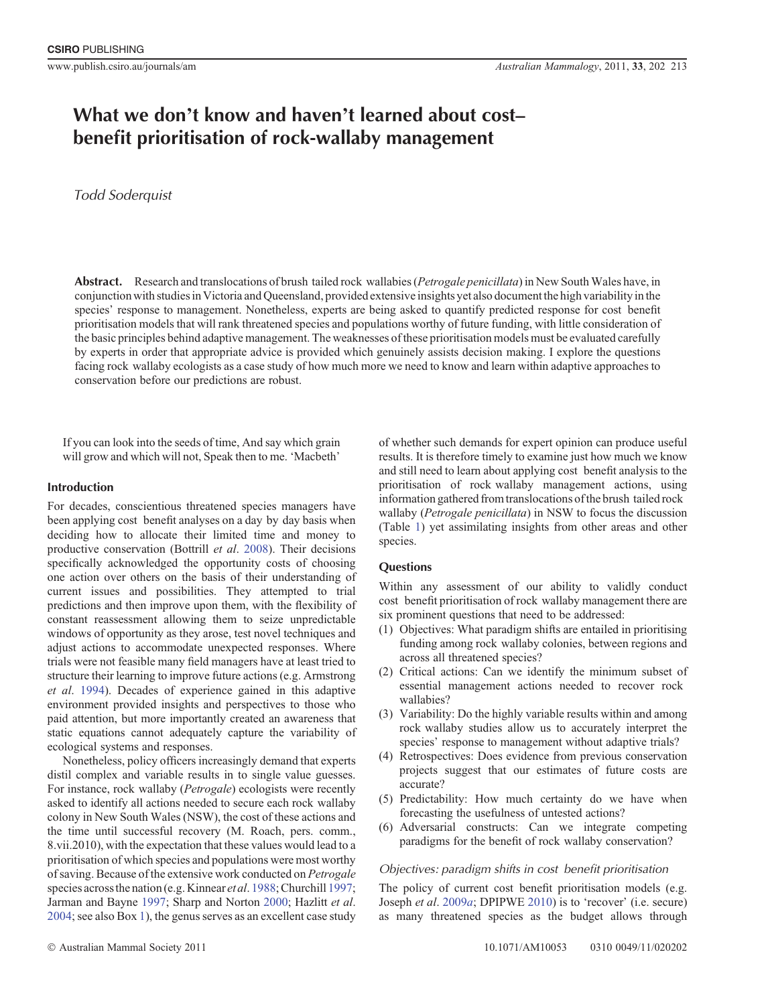# **What we don**'**t know and haven**'**t learned about cost– benefit prioritisation of rock-wallaby management**

# *Todd Soderquist*

**Abstract.** Research and translocations of brush tailed rock wallabies (*Petrogale penicillata*) in New South Wales have, in conjunction with studies in Victoria and Queensland, provided extensive insights yet also document the high variability in the species' response to management. Nonetheless, experts are being asked to quantify predicted response for cost benefit prioritisation models that will rank threatened species and populations worthy of future funding, with little consideration of the basic principles behind adaptive management. The weaknesses of these prioritisation models must be evaluated carefully by experts in order that appropriate advice is provided which genuinely assists decision making. I explore the questions facing rock wallaby ecologists as a case study of how much more we need to know and learn within adaptive approaches to conservation before our predictions are robust.

If you can look into the seeds of time, And say which grain will grow and which will not, Speak then to me. 'Macbeth'

## **Introduction**

For decades, conscientious threatened species managers have been applying cost benefit analyses on a day by day basis when deciding how to allocate their limited time and money to productive conservation (Bottrill *et al*. [2008](#page-8-0)). Their decisions specifically acknowledged the opportunity costs of choosing one action over others on the basis of their understanding of current issues and possibilities. They attempted to trial predictions and then improve upon them, with the flexibility of constant reassessment allowing them to seize unpredictable windows of opportunity as they arose, test novel techniques and adjust actions to accommodate unexpected responses. Where trials were not feasible many field managers have at least tried to structure their learning to improve future actions (e.g. Armstrong *et al*. [1994](#page-8-0)). Decades of experience gained in this adaptive environment provided insights and perspectives to those who paid attention, but more importantly created an awareness that static equations cannot adequately capture the variability of ecological systems and responses.

Nonetheless, policy officers increasingly demand that experts distil complex and variable results in to single value guesses. For instance, rock wallaby (*Petrogale*) ecologists were recently asked to identify all actions needed to secure each rock wallaby colony in New South Wales (NSW), the cost of these actions and the time until successful recovery (M. Roach, pers. comm., 8.vii.2010), with the expectation that these values would lead to a prioritisation of which species and populations were most worthy of saving. Because of the extensive work conducted on *Petrogale* species across the nation (e.g. Kinnear *et al.* [1988;](#page-10-0) Churchill [1997](#page-9-0); Jarman and Bayne [1997;](#page-9-0) Sharp and Norton [2000](#page-11-0); Hazlitt *et al*. [2004;](#page-9-0) see also Box [1\)](#page-9-0), the genus serves as an excellent case study of whether such demands for expert opinion can produce useful results. It is therefore timely to examine just how much we know and still need to learn about applying cost benefit analysis to the prioritisation of rock wallaby management actions, using information gathered from translocations of the brush tailed rock wallaby (*Petrogale penicillata*) in NSW to focus the discussion (Table [1](#page-2-0)) yet assimilating insights from other areas and other species.

## **Questions**

Within any assessment of our ability to validly conduct cost benefit prioritisation of rock wallaby management there are six prominent questions that need to be addressed:

- (1) Objectives: What paradigm shifts are entailed in prioritising funding among rock wallaby colonies, between regions and across all threatened species?
- (2) Critical actions: Can we identify the minimum subset of essential management actions needed to recover rock wallabies?
- (3) Variability: Do the highly variable results within and among rock wallaby studies allow us to accurately interpret the species' response to management without adaptive trials?
- (4) Retrospectives: Does evidence from previous conservation projects suggest that our estimates of future costs are accurate?
- (5) Predictability: How much certainty do we have when forecasting the usefulness of untested actions?
- (6) Adversarial constructs: Can we integrate competing paradigms for the benefit of rock wallaby conservation?

#### *Objectives: paradigm shifts in cost benefit prioritisation*

The policy of current cost benefit prioritisation models (e.g. Joseph *et al*. [2009](#page-9-0)*a*; DPIPWE [2010](#page-9-0)) is to 'recover' (i.e. secure) as many threatened species as the budget allows through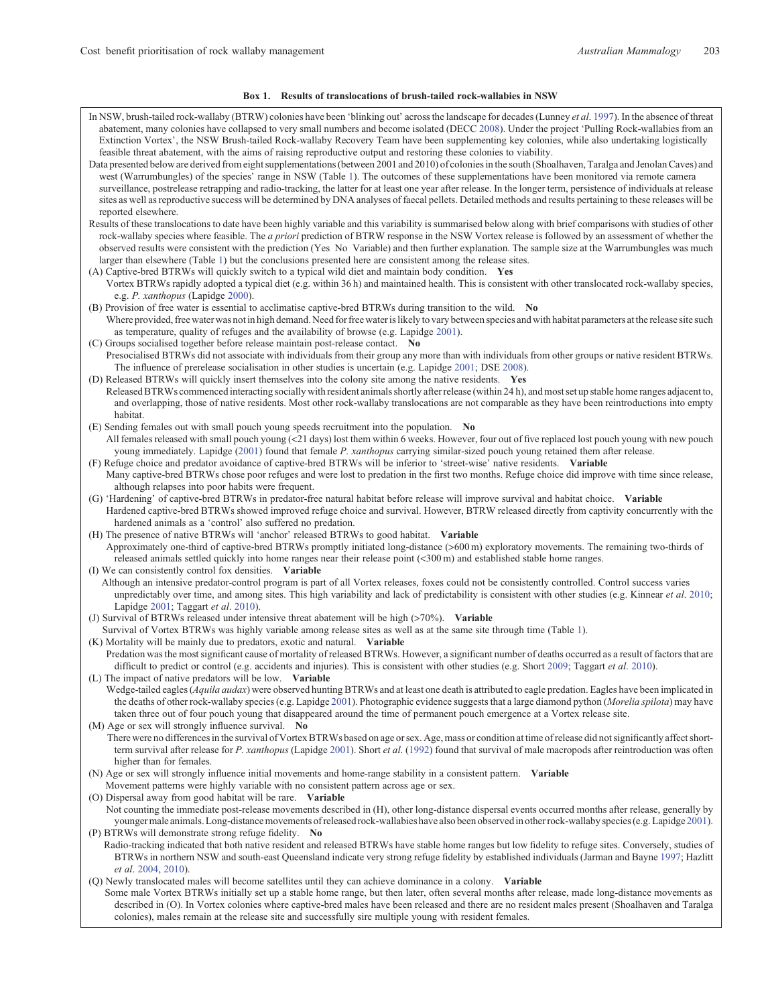#### **Box 1. Results of translocations of brush-tailed rock-wallabies in NSW**

In NSW, brush-tailed rock-wallaby (BTRW) colonies have been 'blinking out' across the landscape for decades (Lunney *et al*. [1997\)](#page-10-0). In the absence of threat abatement, many colonies have collapsed to very small numbers and become isolated (DECC [2008\)](#page-9-0). Under the project 'Pulling Rock-wallabies from an Extinction Vortex', the NSW Brush-tailed Rock-wallaby Recovery Team have been supplementing key colonies, while also undertaking logistically feasible threat abatement, with the aims of raising reproductive output and restoring these colonies to viability. Data presented below are derived from eight supplementations (between 2001 and 2010) of colonies in the south (Shoalhaven, Taralga and Jenolan Caves) and west (Warrumbungles) of the species' range in NSW (Table [1](#page-2-0)). The outcomes of these supplementations have been monitored via remote camera surveillance, postrelease retrapping and radio-tracking, the latter for at least one year after release. In the longer term, persistence of individuals at release sites as well as reproductive success will be determined by DNA analyses of faecal pellets. Detailed methods and results pertaining to these releases will be reported elsewhere. Results of these translocations to date have been highly variable and this variability is summarised below along with brief comparisons with studies of other rock-wallaby species where feasible. The *a priori* prediction of BTRW response in the NSW Vortex release is followed by an assessment of whether the observed results were consistent with the prediction (Yes No Variable) and then further explanation. The sample size at the Warrumbungles was much larger than elsewhere (Table [1](#page-2-0)) but the conclusions presented here are consistent among the release sites. (A) Captive-bred BTRWs will quickly switch to a typical wild diet and maintain body condition. **Yes** Vortex BTRWs rapidly adopted a typical diet (e.g. within 36 h) and maintained health. This is consistent with other translocated rock-wallaby species, e.g. *P. xanthopus* (Lapidge [2000\)](#page-10-0). (B) Provision of free water is essential to acclimatise captive-bred BTRWs during transition to the wild. **No** Where provided, free water was not in high demand. Need for free water is likely to vary between species and with habitat parameters at the release site such as temperature, quality of refuges and the availability of browse (e.g. Lapidge [2001](#page-10-0)). (C) Groups socialised together before release maintain post-release contact. **No** Presocialised BTRWs did not associate with individuals from their group any more than with individuals from other groups or native resident BTRWs. The influence of prerelease socialisation in other studies is uncertain (e.g. Lapidge [2001](#page-10-0); DSE [2008\)](#page-9-0). (D) Released BTRWs will quickly insert themselves into the colony site among the native residents. **Yes** Released BTRWs commenced interacting socially with resident animals shortly after release (within 24 h), and most set up stable home ranges adjacent to, and overlapping, those of native residents. Most other rock-wallaby translocations are not comparable as they have been reintroductions into empty habitat. (E) Sending females out with small pouch young speeds recruitment into the population. **No** All females released with small pouch young (<21 days) lost them within 6 weeks. However, four out of five replaced lost pouch young with new pouch young immediately. Lapidge ([2001\)](#page-10-0) found that female *P. xanthopus* carrying similar-sized pouch young retained them after release. (F) Refuge choice and predator avoidance of captive-bred BTRWs will be inferior to 'street-wise' native residents. **Variable** Many captive-bred BTRWs chose poor refuges and were lost to predation in the first two months. Refuge choice did improve with time since release, although relapses into poor habits were frequent. (G) 'Hardening' of captive-bred BTRWs in predator-free natural habitat before release will improve survival and habitat choice. **Variable** Hardened captive-bred BTRWs showed improved refuge choice and survival. However, BTRW released directly from captivity concurrently with the hardened animals as a 'control' also suffered no predation. (H) The presence of native BTRWs will 'anchor' released BTRWs to good habitat. **Variable** Approximately one-third of captive-bred BTRWs promptly initiated long-distance (>600 m) exploratory movements. The remaining two-thirds of released animals settled quickly into home ranges near their release point (<300 m) and established stable home ranges. (I) We can consistently control fox densities. **Variable** Although an intensive predator-control program is part of all Vortex releases, foxes could not be consistently controlled. Control success varies unpredictably over time, and among sites. This high variability and lack of predictability is consistent with other studies (e.g. Kinnear *et al*. [2010;](#page-10-0) Lapidge [2001;](#page-10-0) Taggart *et al*. [2010\)](#page-11-0). (J) Survival of BTRWs released under intensive threat abatement will be high (>70%). **Variable** Survival of Vortex BTRWs was highly variable among release sites as well as at the same site through time (Table [1](#page-2-0)). (K) Mortality will be mainly due to predators, exotic and natural. **Variable** Predation was the most significant cause of mortality of released BTRWs. However, a significant number of deaths occurred as a result of factors that are difficult to predict or control (e.g. accidents and injuries). This is consistent with other studies (e.g. Short [2009](#page-11-0); Taggart *et al*. [2010\)](#page-11-0). (L) The impact of native predators will be low. **Variable** Wedge-tailed eagles (*Aquila audax*) were observed hunting BTRWs and at least one death is attributed to eagle predation. Eagles have been implicated in the deaths of other rock-wallaby species (e.g. Lapidge [2001\)](#page-10-0). Photographic evidence suggests that a large diamond python (*Morelia spilota*) may have taken three out of four pouch young that disappeared around the time of permanent pouch emergence at a Vortex release site. (M) Age or sex will strongly influence survival. **No** There were no differences in the survival of Vortex BTRWs based on age or sex. Age, mass or condition at time of release did not significantly affect shortterm survival after release for *P. xanthopus* (Lapidge [2001\)](#page-10-0). Short *et al*. [\(1992\)](#page-11-0) found that survival of male macropods after reintroduction was often higher than for females. (N) Age or sex will strongly influence initial movements and home-range stability in a consistent pattern. **Variable** Movement patterns were highly variable with no consistent pattern across age or sex. (O) Dispersal away from good habitat will be rare. **Variable** Not counting the immediate post-release movements described in (H), other long-distance dispersal events occurred months after release, generally by youngermale animals. Long-distance movements of released rock-wallabies have also been observedin other rock-wallaby species (e.g. Lapidge [2001](#page-10-0)). (P) BTRWs will demonstrate strong refuge fidelity. **No** Radio-tracking indicated that both native resident and released BTRWs have stable home ranges but low fidelity to refuge sites. Conversely, studies of BTRWs in northern NSW and south-east Queensland indicate very strong refuge fidelity by established individuals (Jarman and Bayne [1997;](#page-9-0) Hazlitt *et al*. [2004,](#page-9-0) [2010\)](#page-9-0). (Q) Newly translocated males will become satellites until they can achieve dominance in a colony. **Variable** Some male Vortex BTRWs initially set up a stable home range, but then later, often several months after release, made long-distance movements as described in (O). In Vortex colonies where captive-bred males have been released and there are no resident males present (Shoalhaven and Taralga colonies), males remain at the release site and successfully sire multiple young with resident females.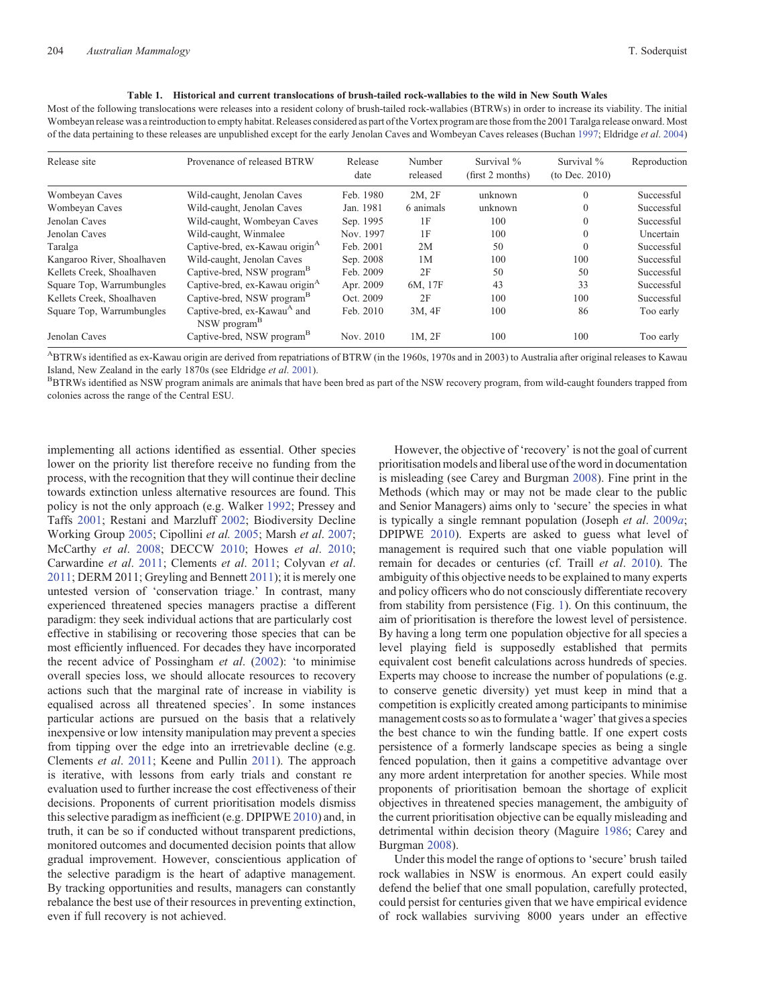#### **Table 1. Historical and current translocations of brush-tailed rock-wallabies to the wild in New South Wales**

<span id="page-2-0"></span>Most of the following translocations were releases into a resident colony of brush-tailed rock-wallabies (BTRWs) in order to increase its viability. The initial Wombeyan release was a reintroduction to empty habitat. Releases considered as part of the Vortex program are those from the 2001 Taralga release onward. Most of the data pertaining to these releases are unpublished except for the early Jenolan Caves and Wombeyan Caves releases (Buchan [1997;](#page-8-0) Eldridge *et al*. [2004](#page-9-0))

| Release site               | Provenance of released BTRW                                         | Release<br>date | Number<br>released | Survival %<br>(first 2 months) | Survival %<br>(to Dec. $2010$ ) | Reproduction |
|----------------------------|---------------------------------------------------------------------|-----------------|--------------------|--------------------------------|---------------------------------|--------------|
| Wombeyan Caves             | Wild-caught, Jenolan Caves                                          | Feb. 1980       | 2M, 2F             | unknown                        | $\theta$                        | Successful   |
| Wombeyan Caves             | Wild-caught, Jenolan Caves                                          | Jan. 1981       | 6 animals          | unknown                        | $\Omega$                        | Successful   |
| Jenolan Caves              | Wild-caught, Wombeyan Caves                                         | Sep. 1995       | 1F                 | 100                            | $\Omega$                        | Successful   |
| Jenolan Caves              | Wild-caught, Winmalee                                               | Nov. 1997       | 1F                 | 100                            | $\Omega$                        | Uncertain    |
| Taralga                    | Captive-bred, ex-Kawau origin <sup>A</sup>                          | Feb. 2001       | 2M                 | 50                             | $\Omega$                        | Successful   |
| Kangaroo River, Shoalhaven | Wild-caught, Jenolan Caves                                          | Sep. 2008       | 1M                 | 100                            | 100                             | Successful   |
| Kellets Creek, Shoalhaven  | Captive-bred, NSW program <sup>15</sup>                             | Feb. 2009       | 2F                 | 50                             | 50                              | Successful   |
| Square Top, Warrumbungles  | Captive-bred, ex-Kawau origin <sup>A</sup>                          | Apr. 2009       | 6M, 17F            | 43                             | 33                              | Successful   |
| Kellets Creek, Shoalhaven  | Captive-bred, NSW program <sup>15</sup>                             | Oct. 2009       | 2F                 | 100                            | 100                             | Successful   |
| Square Top, Warrumbungles  | Captive-bred, ex-Kawau <sup>A</sup> and<br>NSW program <sup>B</sup> | Feb. 2010       | 3M, 4F             | 100                            | 86                              | Too early    |
| Jenolan Caves              | Captive-bred, NSW program <sup>B</sup>                              | Nov. 2010       | 1M, 2F             | 100                            | 100                             | Too early    |

ABTRWs identified as ex-Kawau origin are derived from repatriations of BTRW (in the 1960s, 1970s and in 2003) to Australia after original releases to Kawau Island, New Zealand in the early 1870s (see Eldridge *et al.* [2001](#page-9-0)). BBTRWS identified as part of the NSW recovery program, from wild-caught founders trapped from animals are animals that have been bred as part of the NSW

colonies across the range of the Central ESU.

implementing all actions identified as essential. Other species lower on the priority list therefore receive no funding from the process, with the recognition that they will continue their decline towards extinction unless alternative resources are found. This policy is not the only approach (e.g. Walker [1992;](#page-11-0) Pressey and Taffs [2001](#page-10-0); Restani and Marzluff [2002](#page-10-0); Biodiversity Decline Working Group [2005;](#page-8-0) Cipollini *et al.* [2005;](#page-9-0) Marsh *et al*. [2007](#page-10-0); McCarthy *et al*. [2008;](#page-10-0) DECCW [2010;](#page-9-0) Howes *et al*. [2010](#page-9-0); Carwardine *et al*. [2011;](#page-9-0) Clements *et al*. [2011](#page-9-0); Colyvan *et al*. [2011;](#page-9-0) DERM 2011; Greyling and Bennett [2011](#page-9-0)); it is merely one untested version of 'conservation triage.' In contrast, many experienced threatened species managers practise a different paradigm: they seek individual actions that are particularly cost effective in stabilising or recovering those species that can be most efficiently influenced. For decades they have incorporated the recent advice of Possingham *et al*. ([2002\)](#page-10-0): 'to minimise overall species loss, we should allocate resources to recovery actions such that the marginal rate of increase in viability is equalised across all threatened species'. In some instances particular actions are pursued on the basis that a relatively inexpensive or low intensity manipulation may prevent a species from tipping over the edge into an irretrievable decline (e.g. Clements *et al*. [2011](#page-9-0); Keene and Pullin [2011](#page-10-0)). The approach is iterative, with lessons from early trials and constant re evaluation used to further increase the cost effectiveness of their decisions. Proponents of current prioritisation models dismiss this selective paradigm as inefficient (e.g. DPIPWE [2010](#page-9-0)) and, in truth, it can be so if conducted without transparent predictions, monitored outcomes and documented decision points that allow gradual improvement. However, conscientious application of the selective paradigm is the heart of adaptive management. By tracking opportunities and results, managers can constantly rebalance the best use of their resources in preventing extinction, even if full recovery is not achieved.

However, the objective of 'recovery' is not the goal of current prioritisation models and liberal use of the word in documentation is misleading (see Carey and Burgman [2008](#page-8-0)). Fine print in the Methods (which may or may not be made clear to the public and Senior Managers) aims only to 'secure' the species in what is typically a single remnant population (Joseph *et al*. [2009](#page-9-0)*a*; DPIPWE [2010\)](#page-9-0). Experts are asked to guess what level of management is required such that one viable population will remain for decades or centuries (cf. Traill *et al*. [2010\)](#page-11-0). The ambiguity of this objective needs to be explained to many experts and policy officers who do not consciously differentiate recovery from stability from persistence (Fig. [1\)](#page-3-0). On this continuum, the aim of prioritisation is therefore the lowest level of persistence. By having a long term one population objective for all species a level playing field is supposedly established that permits equivalent cost benefit calculations across hundreds of species. Experts may choose to increase the number of populations (e.g. to conserve genetic diversity) yet must keep in mind that a competition is explicitly created among participants to minimise management costs so as to formulate a 'wager'that gives a species the best chance to win the funding battle. If one expert costs persistence of a formerly landscape species as being a single fenced population, then it gains a competitive advantage over any more ardent interpretation for another species. While most proponents of prioritisation bemoan the shortage of explicit objectives in threatened species management, the ambiguity of the current prioritisation objective can be equally misleading and detrimental within decision theory (Maguire [1986](#page-10-0); Carey and Burgman [2008](#page-8-0)).

Under this model the range of options to 'secure' brush tailed rock wallabies in NSW is enormous. An expert could easily defend the belief that one small population, carefully protected, could persist for centuries given that we have empirical evidence of rock wallabies surviving 8000 years under an effective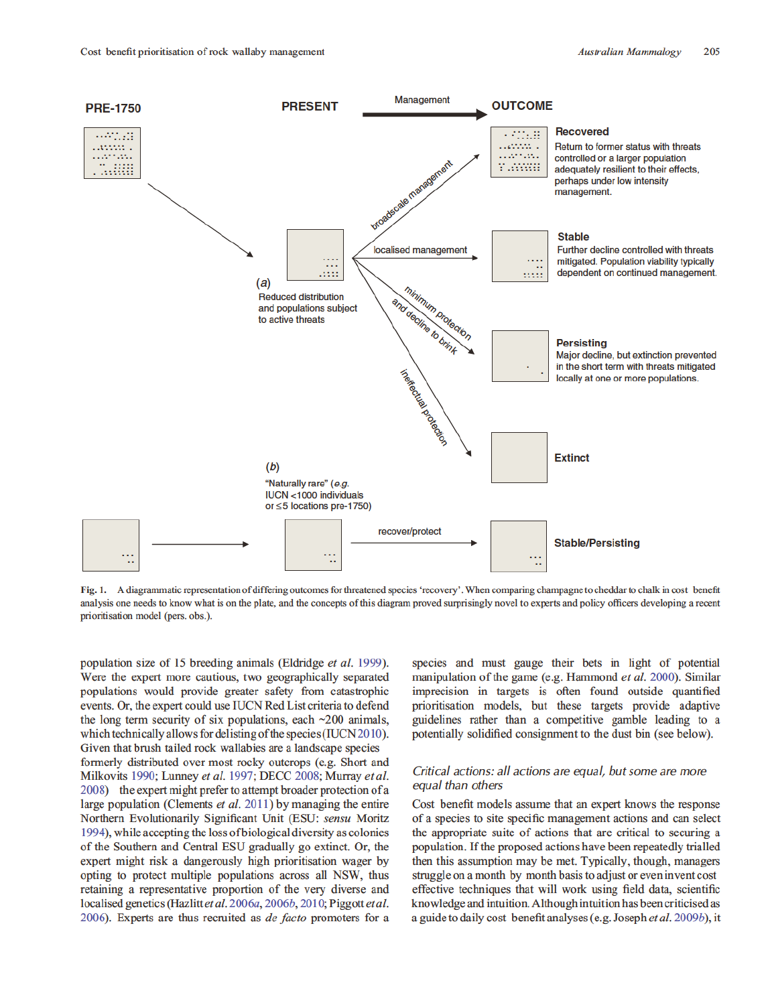

Fig. 1. A diagrammatic representation of differing outcomes for threatened species 'recovery'. When comparing champagne to cheddar to chalk in cost benefit analysis one needs to know what is on the plate, and the concepts of this diagram proved surprisingly novel to experts and policy officers developing a recent prioritisation model (pers. obs.).

population size of 15 breeding animals (Eldridge et al. 1999). Were the expert more cautious, two geographically separated populations would provide greater safety from catastrophic events. Or, the expert could use IUCN Red List criteria to defend the long term security of six populations, each  $\sim$ 200 animals, which technically allows for delisting of the species (IUCN 2010). Given that brush tailed rock wallabies are a landscape species formerly distributed over most rocky outcrops (e.g. Short and Milkovits 1990; Lunney et al. 1997; DECC 2008; Murray et al. 2008) the expert might prefer to attempt broader protection of a large population (Clements et al. 2011) by managing the entire Northern Evolutionarily Significant Unit (ESU: sensu Moritz 1994), while accepting the loss of biological diversity as colonies of the Southern and Central ESU gradually go extinct. Or, the expert might risk a dangerously high prioritisation wager by opting to protect multiple populations across all NSW, thus retaining a representative proportion of the very diverse and localised genetics (Hazlitt et al. 2006a, 2006b, 2010; Piggott et al. 2006). Experts are thus recruited as *de facto* promoters for a

species and must gauge their bets in light of potential manipulation of the game (e.g. Hammond *et al.* 2000). Similar imprecision in targets is often found outside quantified prioritisation models, but these targets provide adaptive guidelines rather than a competitive gamble leading to a potentially solidified consignment to the dust bin (see below).

## Critical actions: all actions are equal, but some are more equal than others

Cost benefit models assume that an expert knows the response of a species to site specific management actions and can select the appropriate suite of actions that are critical to securing a population. If the proposed actions have been repeatedly trialled then this assumption may be met. Typically, though, managers struggle on a month by month basis to adjust or even invent cost effective techniques that will work using field data, scientific knowledge and intuition. Although intuition has been criticised as a guide to daily cost benefit analyses (e.g. Joseph et al. 2009b), it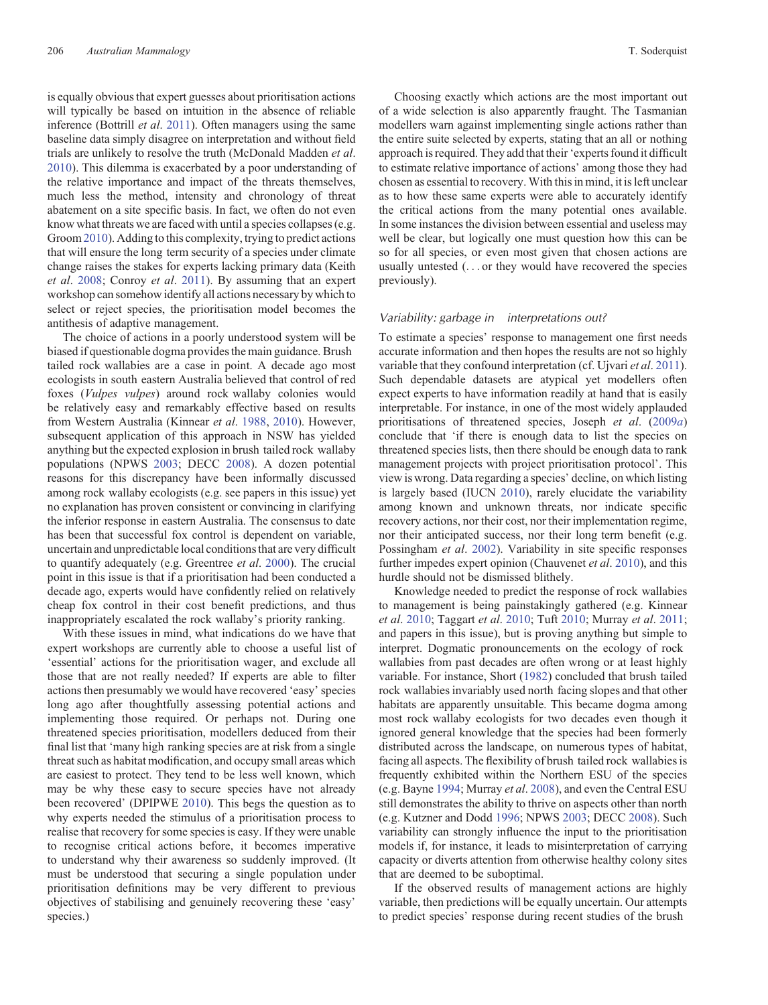is equally obvious that expert guesses about prioritisation actions will typically be based on intuition in the absence of reliable inference (Bottrill *et al*. [2011](#page-8-0)). Often managers using the same baseline data simply disagree on interpretation and without field trials are unlikely to resolve the truth (McDonald Madden *et al*. [2010\)](#page-10-0). This dilemma is exacerbated by a poor understanding of the relative importance and impact of the threats themselves, much less the method, intensity and chronology of threat abatement on a site specific basis. In fact, we often do not even know what threats we are faced with until a species collapses (e.g. Groom[2010\)](#page-9-0). Adding to this complexity, trying to predict actions that will ensure the long term security of a species under climate change raises the stakes for experts lacking primary data (Keith *et al*. [2008](#page-10-0); Conroy *et al*. [2011\)](#page-9-0). By assuming that an expert workshop can somehow identify all actions necessary by which to select or reject species, the prioritisation model becomes the antithesis of adaptive management.

The choice of actions in a poorly understood system will be biased if questionable dogma provides the main guidance. Brush tailed rock wallabies are a case in point. A decade ago most ecologists in south eastern Australia believed that control of red foxes (*Vulpes vulpes*) around rock wallaby colonies would be relatively easy and remarkably effective based on results from Western Australia (Kinnear *et al*. [1988](#page-10-0), [2010\)](#page-10-0). However, subsequent application of this approach in NSW has yielded anything but the expected explosion in brush tailed rock wallaby populations (NPWS [2003](#page-10-0); DECC [2008](#page-9-0)). A dozen potential reasons for this discrepancy have been informally discussed among rock wallaby ecologists (e.g. see papers in this issue) yet no explanation has proven consistent or convincing in clarifying the inferior response in eastern Australia. The consensus to date has been that successful fox control is dependent on variable, uncertain and unpredictable local conditions that are very difficult to quantify adequately (e.g. Greentree *et al*. [2000\)](#page-9-0). The crucial point in this issue is that if a prioritisation had been conducted a decade ago, experts would have confidently relied on relatively cheap fox control in their cost benefit predictions, and thus inappropriately escalated the rock wallaby's priority ranking.

With these issues in mind, what indications do we have that expert workshops are currently able to choose a useful list of 'essential' actions for the prioritisation wager, and exclude all those that are not really needed? If experts are able to filter actions then presumably we would have recovered 'easy'species long ago after thoughtfully assessing potential actions and implementing those required. Or perhaps not. During one threatened species prioritisation, modellers deduced from their final list that 'many high ranking species are at risk from a single threat such as habitat modification, and occupy small areas which are easiest to protect. They tend to be less well known, which may be why these easy to secure species have not already been recovered' (DPIPWE [2010](#page-9-0)). This begs the question as to why experts needed the stimulus of a prioritisation process to realise that recovery for some species is easy. If they were unable to recognise critical actions before, it becomes imperative to understand why their awareness so suddenly improved. (It must be understood that securing a single population under prioritisation definitions may be very different to previous objectives of stabilising and genuinely recovering these 'easy' species.)

Choosing exactly which actions are the most important out of a wide selection is also apparently fraught. The Tasmanian modellers warn against implementing single actions rather than the entire suite selected by experts, stating that an all or nothing approach is required. They add that their'experts found it difficult to estimate relative importance of actions' among those they had chosen as essential to recovery. With this in mind, it is left unclear as to how these same experts were able to accurately identify the critical actions from the many potential ones available. In some instances the division between essential and useless may well be clear, but logically one must question how this can be so for all species, or even most given that chosen actions are usually untested (... or they would have recovered the species previously).

#### *Variability: garbage in interpretations out?*

To estimate a species' response to management one first needs accurate information and then hopes the results are not so highly variable that they confound interpretation (cf. Ujvari *et al*. [2011](#page-11-0)). Such dependable datasets are atypical yet modellers often expect experts to have information readily at hand that is easily interpretable. For instance, in one of the most widely applauded prioritisations of threatened species, Joseph *et al*. [\(2009](#page-9-0)*a*) conclude that 'if there is enough data to list the species on threatened species lists, then there should be enough data to rank management projects with project prioritisation protocol'. This view is wrong. Data regarding a species' decline, on which listing is largely based (IUCN [2010](#page-9-0)), rarely elucidate the variability among known and unknown threats, nor indicate specific recovery actions, nor their cost, nor their implementation regime, nor their anticipated success, nor their long term benefit (e.g. Possingham *et al*. [2002\)](#page-10-0). Variability in site specific responses further impedes expert opinion (Chauvenet *et al*. [2010](#page-9-0)), and this hurdle should not be dismissed blithely.

Knowledge needed to predict the response of rock wallabies to management is being painstakingly gathered (e.g. Kinnear *et al*. [2010](#page-10-0); Taggart *et al*. [2010](#page-11-0); Tuft [2010](#page-11-0); Murray *et al*. [2011](#page-10-0); and papers in this issue), but is proving anything but simple to interpret. Dogmatic pronouncements on the ecology of rock wallabies from past decades are often wrong or at least highly variable. For instance, Short ([1982\)](#page-11-0) concluded that brush tailed rock wallabies invariably used north facing slopes and that other habitats are apparently unsuitable. This became dogma among most rock wallaby ecologists for two decades even though it ignored general knowledge that the species had been formerly distributed across the landscape, on numerous types of habitat, facing all aspects. The flexibility of brush tailed rock wallabies is frequently exhibited within the Northern ESU of the species (e.g. Bayne [1994](#page-8-0); Murray *et al*. [2008](#page-10-0)), and even the Central ESU still demonstrates the ability to thrive on aspects other than north (e.g. Kutzner and Dodd [1996](#page-10-0); NPWS [2003](#page-10-0); DECC [2008](#page-9-0)). Such variability can strongly influence the input to the prioritisation models if, for instance, it leads to misinterpretation of carrying capacity or diverts attention from otherwise healthy colony sites that are deemed to be suboptimal.

If the observed results of management actions are highly variable, then predictions will be equally uncertain. Our attempts to predict species' response during recent studies of the brush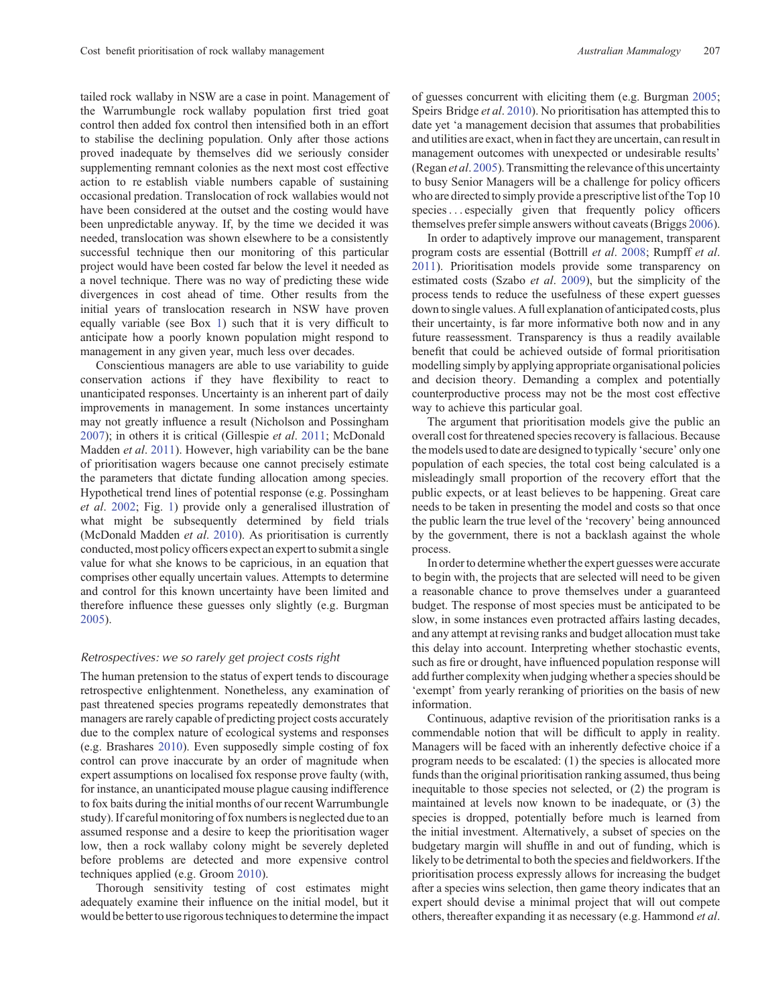tailed rock wallaby in NSW are a case in point. Management of the Warrumbungle rock wallaby population first tried goat control then added fox control then intensified both in an effort to stabilise the declining population. Only after those actions proved inadequate by themselves did we seriously consider supplementing remnant colonies as the next most cost effective action to re establish viable numbers capable of sustaining occasional predation. Translocation of rock wallabies would not have been considered at the outset and the costing would have been unpredictable anyway. If, by the time we decided it was needed, translocation was shown elsewhere to be a consistently successful technique then our monitoring of this particular project would have been costed far below the level it needed as a novel technique. There was no way of predicting these wide divergences in cost ahead of time. Other results from the initial years of translocation research in NSW have proven equally variable (see Box [1\)](#page-9-0) such that it is very difficult to anticipate how a poorly known population might respond to management in any given year, much less over decades.

Conscientious managers are able to use variability to guide conservation actions if they have flexibility to react to unanticipated responses. Uncertainty is an inherent part of daily improvements in management. In some instances uncertainty may not greatly influence a result (Nicholson and Possingham [2007](#page-10-0)); in others it is critical (Gillespie *et al*. [2011;](#page-9-0) McDonald Madden *et al*. [2011\)](#page-10-0). However, high variability can be the bane of prioritisation wagers because one cannot precisely estimate the parameters that dictate funding allocation among species. Hypothetical trend lines of potential response (e.g. Possingham *et al*. [2002](#page-10-0); Fig. [1](#page-3-0)) provide only a generalised illustration of what might be subsequently determined by field trials (McDonald Madden *et al*. [2010\)](#page-10-0). As prioritisation is currently conducted, most policy officers expect an expertto submit a single value for what she knows to be capricious, in an equation that comprises other equally uncertain values. Attempts to determine and control for this known uncertainty have been limited and therefore influence these guesses only slightly (e.g. Burgman [2005](#page-8-0)).

## *Retrospectives: we so rarely get project costs right*

The human pretension to the status of expert tends to discourage retrospective enlightenment. Nonetheless, any examination of past threatened species programs repeatedly demonstrates that managers are rarely capable of predicting project costs accurately due to the complex nature of ecological systems and responses (e.g. Brashares [2010\)](#page-8-0). Even supposedly simple costing of fox control can prove inaccurate by an order of magnitude when expert assumptions on localised fox response prove faulty (with, for instance, an unanticipated mouse plague causing indifference to fox baits during the initial months of our recent Warrumbungle study). If careful monitoring of fox numbers is neglected due to an assumed response and a desire to keep the prioritisation wager low, then a rock wallaby colony might be severely depleted before problems are detected and more expensive control techniques applied (e.g. Groom [2010\)](#page-9-0).

Thorough sensitivity testing of cost estimates might adequately examine their influence on the initial model, but it would be better to use rigorous techniques to determine the impact of guesses concurrent with eliciting them (e.g. Burgman [2005;](#page-8-0) Speirs Bridge *et al*. [2010](#page-11-0)). No prioritisation has attempted this to date yet 'a management decision that assumes that probabilities and utilities are exact, when in fact they are uncertain, can result in management outcomes with unexpected or undesirable results' (Regan *et al*. [2005\)](#page-10-0).Transmitting the relevance of this uncertainty to busy Senior Managers will be a challenge for policy officers who are directed to simply provide a prescriptive list of the Top 10 species... especially given that frequently policy officers themselves prefer simple answers without caveats (Briggs [2006](#page-8-0)).

In order to adaptively improve our management, transparent program costs are essential (Bottrill *et al*. [2008;](#page-8-0) Rumpff *et al*. [2011](#page-10-0)). Prioritisation models provide some transparency on estimated costs (Szabo *et al*. [2009](#page-11-0)), but the simplicity of the process tends to reduce the usefulness of these expert guesses down to single values. A full explanation of anticipated costs, plus their uncertainty, is far more informative both now and in any future reassessment. Transparency is thus a readily available benefit that could be achieved outside of formal prioritisation modelling simply by applying appropriate organisational policies and decision theory. Demanding a complex and potentially counterproductive process may not be the most cost effective way to achieve this particular goal.

The argument that prioritisation models give the public an overall cost for threatened species recovery is fallacious. Because the models used to date are designed to typically 'secure' only one population of each species, the total cost being calculated is a misleadingly small proportion of the recovery effort that the public expects, or at least believes to be happening. Great care needs to be taken in presenting the model and costs so that once the public learn the true level of the 'recovery' being announced by the government, there is not a backlash against the whole process.

In order to determine whether the expert guesses were accurate to begin with, the projects that are selected will need to be given a reasonable chance to prove themselves under a guaranteed budget. The response of most species must be anticipated to be slow, in some instances even protracted affairs lasting decades, and any attempt at revising ranks and budget allocation must take this delay into account. Interpreting whether stochastic events, such as fire or drought, have influenced population response will add further complexity when judging whether a species should be 'exempt' from yearly reranking of priorities on the basis of new information.

Continuous, adaptive revision of the prioritisation ranks is a commendable notion that will be difficult to apply in reality. Managers will be faced with an inherently defective choice if a program needs to be escalated: (1) the species is allocated more funds than the original prioritisation ranking assumed, thus being inequitable to those species not selected, or (2) the program is maintained at levels now known to be inadequate, or (3) the species is dropped, potentially before much is learned from the initial investment. Alternatively, a subset of species on the budgetary margin will shuffle in and out of funding, which is likely to be detrimental to both the species and fieldworkers. If the prioritisation process expressly allows for increasing the budget after a species wins selection, then game theory indicates that an expert should devise a minimal project that will out compete others, thereafter expanding it as necessary (e.g. Hammond *et al*.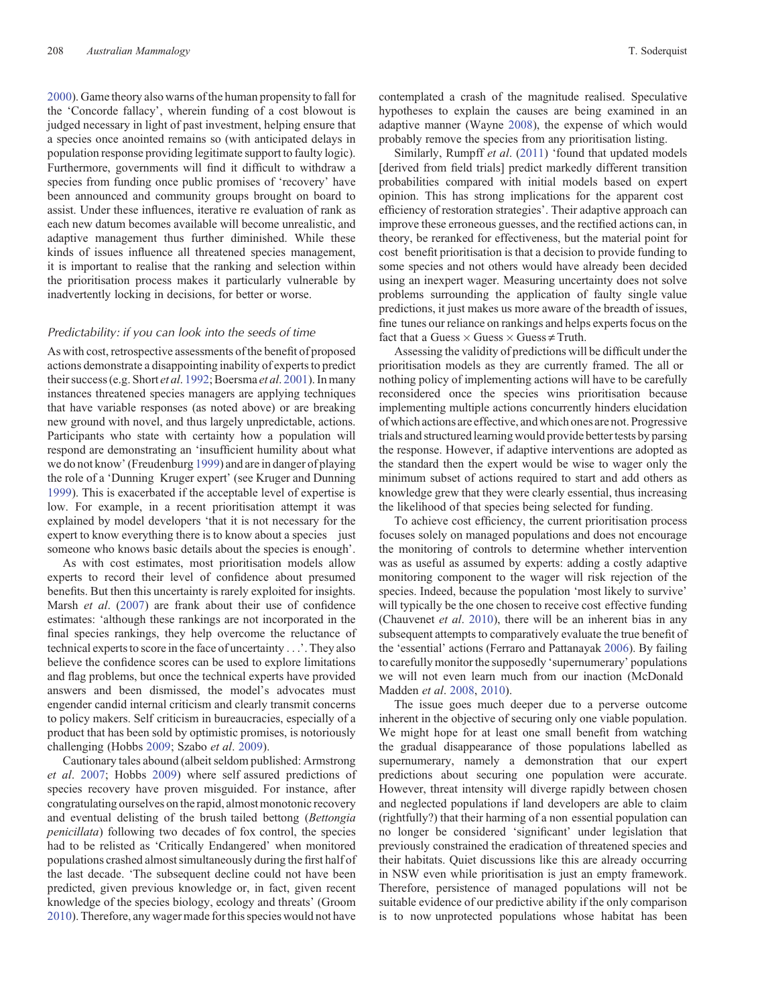[2000\)](#page-9-0). Game theory also warns of the human propensity to fall for the 'Concorde fallacy', wherein funding of a cost blowout is judged necessary in light of past investment, helping ensure that a species once anointed remains so (with anticipated delays in population response providing legitimate support to faulty logic). Furthermore, governments will find it difficult to withdraw a species from funding once public promises of 'recovery' have been announced and community groups brought on board to assist. Under these influences, iterative re evaluation of rank as each new datum becomes available will become unrealistic, and adaptive management thus further diminished. While these kinds of issues influence all threatened species management, it is important to realise that the ranking and selection within the prioritisation process makes it particularly vulnerable by inadvertently locking in decisions, for better or worse.

#### *Predictability: if you can look into the seeds of time*

As with cost, retrospective assessments of the benefit of proposed actions demonstrate a disappointing inability of experts to predict their success (e.g. Short *et al*. [1992](#page-11-0); Boersma *et al*. [2001\)](#page-8-0). In many instances threatened species managers are applying techniques that have variable responses (as noted above) or are breaking new ground with novel, and thus largely unpredictable, actions. Participants who state with certainty how a population will respond are demonstrating an 'insufficient humility about what we do not know'(Freudenburg [1999](#page-9-0)) and are in danger of playing the role of a 'Dunning Kruger expert' (see Kruger and Dunning [1999\)](#page-10-0). This is exacerbated if the acceptable level of expertise is low. For example, in a recent prioritisation attempt it was explained by model developers 'that it is not necessary for the expert to know everything there is to know about a species just someone who knows basic details about the species is enough'.

As with cost estimates, most prioritisation models allow experts to record their level of confidence about presumed benefits. But then this uncertainty is rarely exploited for insights. Marsh *et al*. [\(2007](#page-10-0)) are frank about their use of confidence estimates: 'although these rankings are not incorporated in the final species rankings, they help overcome the reluctance of technical experts to score in the face of uncertainty ...'. They also believe the confidence scores can be used to explore limitations and flag problems, but once the technical experts have provided answers and been dismissed, the model's advocates must engender candid internal criticism and clearly transmit concerns to policy makers. Self criticism in bureaucracies, especially of a product that has been sold by optimistic promises, is notoriously challenging (Hobbs [2009](#page-9-0); Szabo *et al*. [2009\)](#page-11-0).

Cautionary tales abound (albeit seldom published: Armstrong *et al*. [2007;](#page-8-0) Hobbs [2009](#page-9-0)) where self assured predictions of species recovery have proven misguided. For instance, after congratulating ourselves on the rapid, almost monotonic recovery and eventual delisting of the brush tailed bettong (*Bettongia penicillata*) following two decades of fox control, the species had to be relisted as 'Critically Endangered' when monitored populations crashed almost simultaneously during the first half of the last decade. 'The subsequent decline could not have been predicted, given previous knowledge or, in fact, given recent knowledge of the species biology, ecology and threats' (Groom [2010\)](#page-9-0). Therefore, any wager made for this species would not have

contemplated a crash of the magnitude realised. Speculative hypotheses to explain the causes are being examined in an adaptive manner (Wayne [2008](#page-11-0)), the expense of which would probably remove the species from any prioritisation listing.

Similarly, Rumpff *et al*. [\(2011](#page-10-0)) 'found that updated models [derived from field trials] predict markedly different transition probabilities compared with initial models based on expert opinion. This has strong implications for the apparent cost efficiency of restoration strategies'. Their adaptive approach can improve these erroneous guesses, and the rectified actions can, in theory, be reranked for effectiveness, but the material point for cost benefit prioritisation is that a decision to provide funding to some species and not others would have already been decided using an inexpert wager. Measuring uncertainty does not solve problems surrounding the application of faulty single value predictions, it just makes us more aware of the breadth of issues, fine tunes our reliance on rankings and helps experts focus on the fact that a Guess  $\times$  Guess  $\times$  Guess  $\neq$  Truth.

Assessing the validity of predictions will be difficult under the prioritisation models as they are currently framed. The all or nothing policy of implementing actions will have to be carefully reconsidered once the species wins prioritisation because implementing multiple actions concurrently hinders elucidation of which actions are effective, and which ones are not. Progressive trials and structured learning would provide better tests by parsing the response. However, if adaptive interventions are adopted as the standard then the expert would be wise to wager only the minimum subset of actions required to start and add others as knowledge grew that they were clearly essential, thus increasing the likelihood of that species being selected for funding.

To achieve cost efficiency, the current prioritisation process focuses solely on managed populations and does not encourage the monitoring of controls to determine whether intervention was as useful as assumed by experts: adding a costly adaptive monitoring component to the wager will risk rejection of the species. Indeed, because the population 'most likely to survive' will typically be the one chosen to receive cost effective funding (Chauvenet *et al*. [2010\)](#page-9-0), there will be an inherent bias in any subsequent attempts to comparatively evaluate the true benefit of the 'essential' actions (Ferraro and Pattanayak [2006\)](#page-9-0). By failing to carefully monitor the supposedly 'supernumerary' populations we will not even learn much from our inaction (McDonald Madden *et al*. [2008,](#page-10-0) [2010\)](#page-10-0).

The issue goes much deeper due to a perverse outcome inherent in the objective of securing only one viable population. We might hope for at least one small benefit from watching the gradual disappearance of those populations labelled as supernumerary, namely a demonstration that our expert predictions about securing one population were accurate. However, threat intensity will diverge rapidly between chosen and neglected populations if land developers are able to claim (rightfully?) that their harming of a non essential population can no longer be considered 'significant' under legislation that previously constrained the eradication of threatened species and their habitats. Quiet discussions like this are already occurring in NSW even while prioritisation is just an empty framework. Therefore, persistence of managed populations will not be suitable evidence of our predictive ability if the only comparison is to now unprotected populations whose habitat has been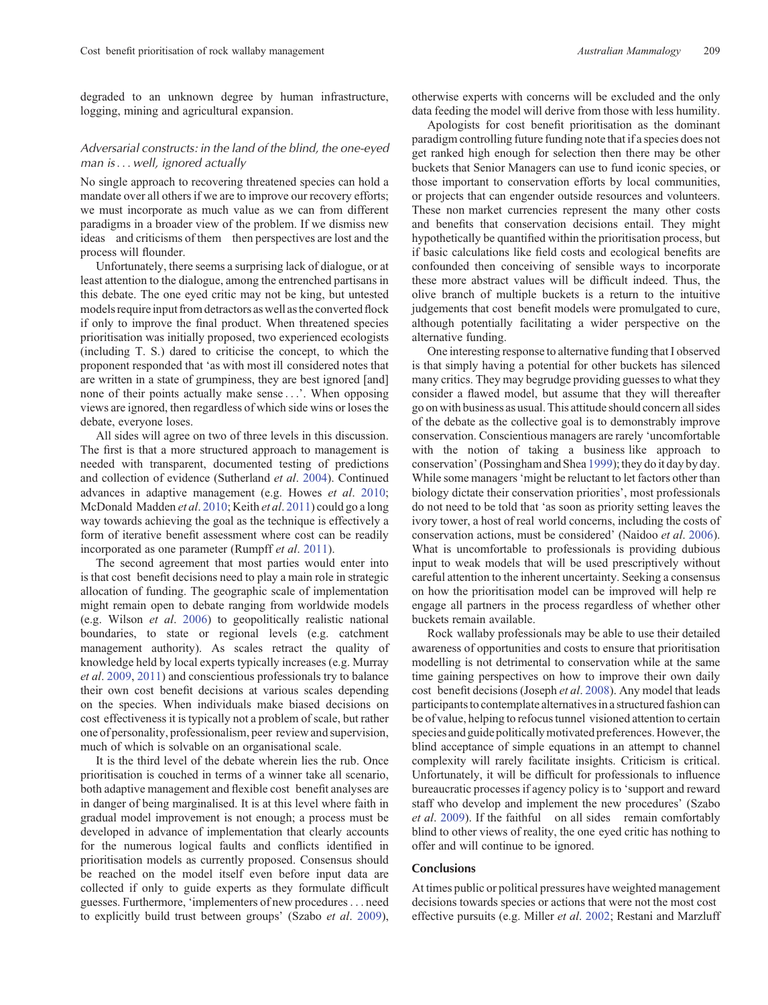degraded to an unknown degree by human infrastructure, logging, mining and agricultural expansion.

# *Adversarial constructs: in the land of the blind, the one-eyed man is*... *well, ignored actually*

No single approach to recovering threatened species can hold a mandate over all others if we are to improve our recovery efforts; we must incorporate as much value as we can from different paradigms in a broader view of the problem. If we dismiss new ideas and criticisms of them then perspectives are lost and the process will flounder.

Unfortunately, there seems a surprising lack of dialogue, or at least attention to the dialogue, among the entrenched partisans in this debate. The one eyed critic may not be king, but untested models require input from detractors as well as the converted flock if only to improve the final product. When threatened species prioritisation was initially proposed, two experienced ecologists (including T. S.) dared to criticise the concept, to which the proponent responded that 'as with most ill considered notes that are written in a state of grumpiness, they are best ignored [and] none of their points actually make sense ...'. When opposing views are ignored, then regardless of which side wins or loses the debate, everyone loses.

All sides will agree on two of three levels in this discussion. The first is that a more structured approach to management is needed with transparent, documented testing of predictions and collection of evidence (Sutherland *et al*. [2004\)](#page-11-0). Continued advances in adaptive management (e.g. Howes *et al*. [2010;](#page-9-0) McDonald Madden *et al*. [2010](#page-10-0); Keith *et al*. [2011](#page-10-0)) could go a long way towards achieving the goal as the technique is effectively a form of iterative benefit assessment where cost can be readily incorporated as one parameter (Rumpff *et al*. [2011](#page-10-0)).

The second agreement that most parties would enter into is that cost benefit decisions need to play a main role in strategic allocation of funding. The geographic scale of implementation might remain open to debate ranging from worldwide models (e.g. Wilson *et al*. [2006\)](#page-11-0) to geopolitically realistic national boundaries, to state or regional levels (e.g. catchment management authority). As scales retract the quality of knowledge held by local experts typically increases (e.g. Murray *et al*. [2009,](#page-10-0) [2011](#page-10-0)) and conscientious professionals try to balance their own cost benefit decisions at various scales depending on the species. When individuals make biased decisions on cost effectiveness it is typically not a problem of scale, but rather one of personality, professionalism, peer review and supervision, much of which is solvable on an organisational scale.

It is the third level of the debate wherein lies the rub. Once prioritisation is couched in terms of a winner take all scenario, both adaptive management and flexible cost benefit analyses are in danger of being marginalised. It is at this level where faith in gradual model improvement is not enough; a process must be developed in advance of implementation that clearly accounts for the numerous logical faults and conflicts identified in prioritisation models as currently proposed. Consensus should be reached on the model itself even before input data are collected if only to guide experts as they formulate difficult guesses. Furthermore, 'implementers of new procedures... need to explicitly build trust between groups' (Szabo *et al*. [2009](#page-11-0)),

otherwise experts with concerns will be excluded and the only data feeding the model will derive from those with less humility.

Apologists for cost benefit prioritisation as the dominant paradigm controlling future funding note that if a species does not get ranked high enough for selection then there may be other buckets that Senior Managers can use to fund iconic species, or those important to conservation efforts by local communities, or projects that can engender outside resources and volunteers. These non market currencies represent the many other costs and benefits that conservation decisions entail. They might hypothetically be quantified within the prioritisation process, but if basic calculations like field costs and ecological benefits are confounded then conceiving of sensible ways to incorporate these more abstract values will be difficult indeed. Thus, the olive branch of multiple buckets is a return to the intuitive judgements that cost benefit models were promulgated to cure, although potentially facilitating a wider perspective on the alternative funding.

One interesting response to alternative funding that I observed is that simply having a potential for other buckets has silenced many critics. They may begrudge providing guesses to what they consider a flawed model, but assume that they will thereafter go on with business as usual. This attitude should concern all sides of the debate as the collective goal is to demonstrably improve conservation. Conscientious managers are rarely 'uncomfortable with the notion of taking a business like approach to conservation'(Possingham and Shea [1999](#page-10-0)); they do it day by day. While some managers'might be reluctant to let factors other than biology dictate their conservation priorities', most professionals do not need to be told that 'as soon as priority setting leaves the ivory tower, a host of real world concerns, including the costs of conservation actions, must be considered' (Naidoo *et al*. [2006](#page-10-0)). What is uncomfortable to professionals is providing dubious input to weak models that will be used prescriptively without careful attention to the inherent uncertainty. Seeking a consensus on how the prioritisation model can be improved will help re engage all partners in the process regardless of whether other buckets remain available.

Rock wallaby professionals may be able to use their detailed awareness of opportunities and costs to ensure that prioritisation modelling is not detrimental to conservation while at the same time gaining perspectives on how to improve their own daily cost benefit decisions (Joseph *et al*. [2008\)](#page-9-0). Any model that leads participants to contemplate alternatives in a structured fashion can be of value, helping to refocus tunnel visioned attention to certain species and guide politically motivated preferences. However, the blind acceptance of simple equations in an attempt to channel complexity will rarely facilitate insights. Criticism is critical. Unfortunately, it will be difficult for professionals to influence bureaucratic processes if agency policy is to 'support and reward staff who develop and implement the new procedures' (Szabo *et al*. [2009\)](#page-11-0). If the faithful on all sides remain comfortably blind to other views of reality, the one eyed critic has nothing to offer and will continue to be ignored.

## **Conclusions**

At times public or political pressures have weighted management decisions towards species or actions that were not the most cost effective pursuits (e.g. Miller *et al*. [2002](#page-10-0); Restani and Marzluff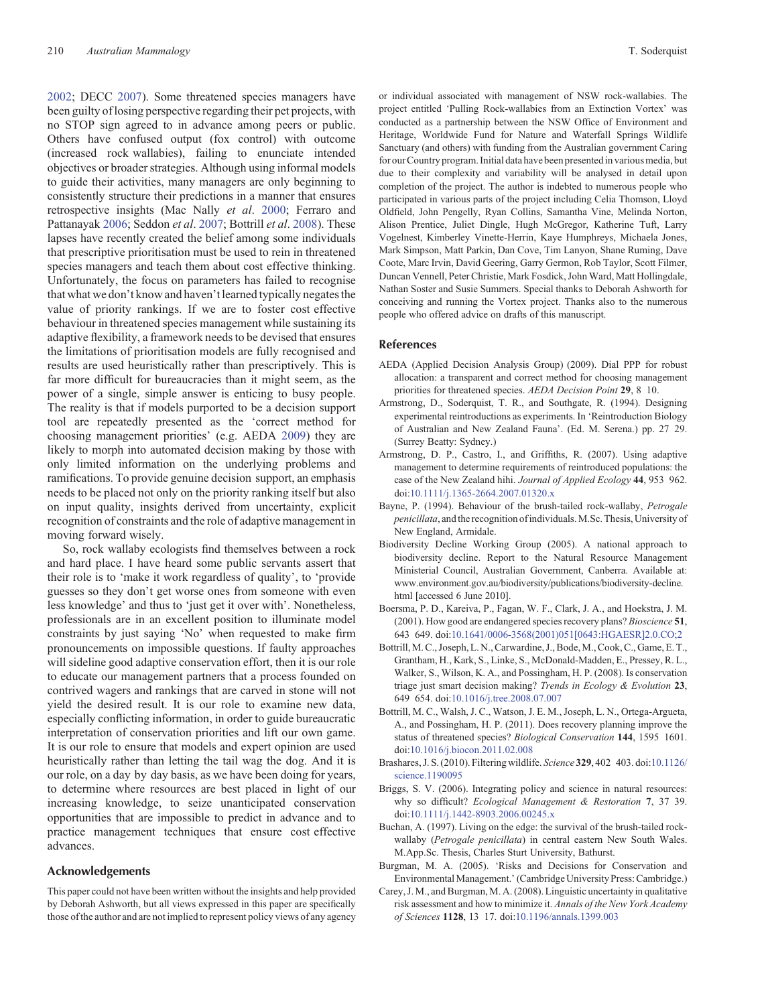<span id="page-8-0"></span>[2002;](#page-10-0) DECC [2007](#page-9-0)). Some threatened species managers have been guilty of losing perspective regarding their pet projects, with no STOP sign agreed to in advance among peers or public. Others have confused output (fox control) with outcome (increased rock wallabies), failing to enunciate intended objectives or broader strategies. Although using informal models to guide their activities, many managers are only beginning to consistently structure their predictions in a manner that ensures retrospective insights (Mac Nally *et al*. [2000;](#page-10-0) Ferraro and Pattanayak [2006;](#page-9-0) Seddon *et al*. [2007](#page-10-0); Bottrill *et al*. 2008). These lapses have recently created the belief among some individuals that prescriptive prioritisation must be used to rein in threatened species managers and teach them about cost effective thinking. Unfortunately, the focus on parameters has failed to recognise that what we don't know and haven't learned typically negates the value of priority rankings. If we are to foster cost effective behaviour in threatened species management while sustaining its adaptive flexibility, a framework needs to be devised that ensures the limitations of prioritisation models are fully recognised and results are used heuristically rather than prescriptively. This is far more difficult for bureaucracies than it might seem, as the power of a single, simple answer is enticing to busy people. The reality is that if models purported to be a decision support tool are repeatedly presented as the 'correct method for choosing management priorities' (e.g. AEDA 2009) they are likely to morph into automated decision making by those with only limited information on the underlying problems and ramifications. To provide genuine decision support, an emphasis needs to be placed not only on the priority ranking itself but also on input quality, insights derived from uncertainty, explicit recognition of constraints and the role of adaptive management in moving forward wisely.

So, rock wallaby ecologists find themselves between a rock and hard place. I have heard some public servants assert that their role is to 'make it work regardless of quality', to 'provide guesses so they don't get worse ones from someone with even less knowledge' and thus to 'just get it over with'. Nonetheless, professionals are in an excellent position to illuminate model constraints by just saying 'No' when requested to make firm pronouncements on impossible questions. If faulty approaches will sideline good adaptive conservation effort, then it is our role to educate our management partners that a process founded on contrived wagers and rankings that are carved in stone will not yield the desired result. It is our role to examine new data, especially conflicting information, in order to guide bureaucratic interpretation of conservation priorities and lift our own game. It is our role to ensure that models and expert opinion are used heuristically rather than letting the tail wag the dog. And it is our role, on a day by day basis, as we have been doing for years, to determine where resources are best placed in light of our increasing knowledge, to seize unanticipated conservation opportunities that are impossible to predict in advance and to practice management techniques that ensure cost effective advances.

#### **Acknowledgements**

This paper could not have been written without the insights and help provided by Deborah Ashworth, but all views expressed in this paper are specifically those of the author and are not implied to represent policy views of any agency

or individual associated with management of NSW rock-wallabies. The project entitled 'Pulling Rock-wallabies from an Extinction Vortex' was conducted as a partnership between the NSW Office of Environment and Heritage, Worldwide Fund for Nature and Waterfall Springs Wildlife Sanctuary (and others) with funding from the Australian government Caring for ourCountry program. Initial data have been presentedin variousmedia, but due to their complexity and variability will be analysed in detail upon completion of the project. The author is indebted to numerous people who participated in various parts of the project including Celia Thomson, Lloyd Oldfield, John Pengelly, Ryan Collins, Samantha Vine, Melinda Norton, Alison Prentice, Juliet Dingle, Hugh McGregor, Katherine Tuft, Larry Vogelnest, Kimberley Vinette-Herrin, Kaye Humphreys, Michaela Jones, Mark Simpson, Matt Parkin, Dan Cove, Tim Lanyon, Shane Ruming, Dave Coote, Marc Irvin, David Geering, Garry Germon, Rob Taylor, Scott Filmer, Duncan Vennell, Peter Christie, Mark Fosdick, John Ward, Matt Hollingdale, Nathan Soster and Susie Summers. Special thanks to Deborah Ashworth for conceiving and running the Vortex project. Thanks also to the numerous people who offered advice on drafts of this manuscript.

# **References**

- AEDA (Applied Decision Analysis Group) (2009). Dial PPP for robust allocation: a transparent and correct method for choosing management priorities for threatened species. *AEDA Decision Point* **29**, 8 10.
- Armstrong, D., Soderquist, T. R., and Southgate, R. (1994). Designing experimental reintroductions as experiments. In 'Reintroduction Biology of Australian and New Zealand Fauna'. (Ed. M. Serena.) pp. 27 29. (Surrey Beatty: Sydney.)
- Armstrong, D. P., Castro, I., and Griffiths, R. (2007). Using adaptive management to determine requirements of reintroduced populations: the case of the New Zealand hihi. *Journal of Applied Ecology* **44**, 953 962. doi:10.1111/j.1365-2664.2007.01320.x
- Bayne, P. (1994). Behaviour of the brush-tailed rock-wallaby, *Petrogale penicillata*, and the recognition of individuals.M.Sc. Thesis, University of New England, Armidale.
- Biodiversity Decline Working Group (2005). A national approach to biodiversity decline. Report to the Natural Resource Management Ministerial Council, Australian Government, Canberra. Available at: www.environment.gov.au/biodiversity/publications/biodiversity-decline. html [accessed 6 June 2010].
- Boersma, P. D., Kareiva, P., Fagan, W. F., Clark, J. A., and Hoekstra, J. M. (2001). How good are endangered species recovery plans? *Bioscience* **51**, 643 649. doi:10.1641/0006-3568(2001)051[0643:HGAESR]2.0.CO;2
- Bottrill,M. C., Joseph, L. N., Carwardine, J., Bode,M., Cook, C., Game, E. T., Grantham, H., Kark, S., Linke, S., McDonald-Madden, E., Pressey, R. L., Walker, S., Wilson, K. A., and Possingham, H. P. (2008). Is conservation triage just smart decision making? *Trends in Ecology & Evolution* **23**, 649 654. doi:10.1016/j.tree.2008.07.007
- Bottrill, M. C., Walsh, J. C., Watson, J. E. M., Joseph, L. N., Ortega-Argueta, A., and Possingham, H. P. (2011). Does recovery planning improve the status of threatened species? *Biological Conservation* **144**, 1595 1601. doi:10.1016/j.biocon.2011.02.008
- Brashares, J. S. (2010). Filtering wildlife. *Science* **329**, 402 403. doi:10.1126/ science.1190095
- Briggs, S. V. (2006). Integrating policy and science in natural resources: why so difficult? *Ecological Management & Restoration* **7**, 37 39. doi:10.1111/j.1442-8903.2006.00245.x
- Buchan, A. (1997). Living on the edge: the survival of the brush-tailed rockwallaby (*Petrogale penicillata*) in central eastern New South Wales. M.App.Sc. Thesis, Charles Sturt University, Bathurst.
- Burgman, M. A. (2005). 'Risks and Decisions for Conservation and EnvironmentalManagement.'(Cambridge University Press: Cambridge.)
- Carey, J.M., and Burgman,M. A. (2008). Linguistic uncertainty in qualitative risk assessment and how to minimize it. *Annals of the New York Academy of Sciences* **1128**, 13 17. doi:10.1196/annals.1399.003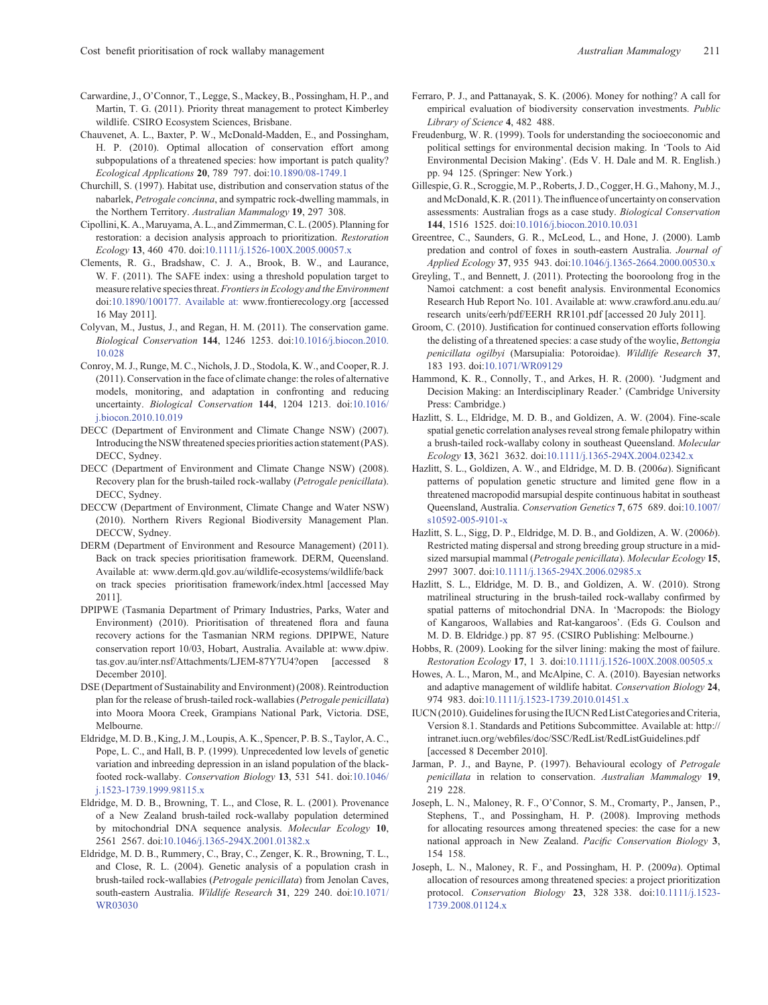- <span id="page-9-0"></span>Carwardine, J., O'Connor, T., Legge, S., Mackey, B., Possingham, H. P., and Martin, T. G. (2011). Priority threat management to protect Kimberley wildlife. CSIRO Ecosystem Sciences, Brisbane.
- Chauvenet, A. L., Baxter, P. W., McDonald-Madden, E., and Possingham, H. P. (2010). Optimal allocation of conservation effort among subpopulations of a threatened species: how important is patch quality? *Ecological Applications* **20**, 789 797. doi:10.1890/08-1749.1
- Churchill, S. (1997). Habitat use, distribution and conservation status of the nabarlek, *Petrogale concinna*, and sympatric rock-dwelling mammals, in the Northern Territory. *Australian Mammalogy* **19**, 297 308.
- Cipollini, K. A.,Maruyama, A. L., and Zimmerman,C. L. (2005). Planning for restoration: a decision analysis approach to prioritization. *Restoration Ecology* **13**, 460 470. doi:10.1111/j.1526-100X.2005.00057.x
- Clements, R. G., Bradshaw, C. J. A., Brook, B. W., and Laurance, W. F. (2011). The SAFE index: using a threshold population target to measure relative species threat. *Frontiers in Ecology and the Environment* doi:10.1890/100177. Available at: www.frontierecology.org [accessed 16 May 2011].
- Colyvan, M., Justus, J., and Regan, H. M. (2011). The conservation game. *Biological Conservation* **144**, 1246 1253. doi:10.1016/j.biocon.2010. 10.028
- Conroy, M. J., Runge, M. C., Nichols, J. D., Stodola, K. W., and Cooper, R. J. (2011). Conservation in the face of climate change: the roles of alternative models, monitoring, and adaptation in confronting and reducing uncertainty. *Biological Conservation* **144**, 1204 1213. doi:10.1016/ j.biocon.2010.10.019
- DECC (Department of Environment and Climate Change NSW) (2007). Introducing the NSW threatened species priorities action statement (PAS). DECC, Sydney.
- DECC (Department of Environment and Climate Change NSW) (2008). Recovery plan for the brush-tailed rock-wallaby (*Petrogale penicillata*). DECC, Sydney.
- DECCW (Department of Environment, Climate Change and Water NSW) (2010). Northern Rivers Regional Biodiversity Management Plan. DECCW, Sydney.
- DERM (Department of Environment and Resource Management) (2011). Back on track species prioritisation framework. DERM, Queensland. Available at: www.derm.qld.gov.au/wildlife-ecosystems/wildlife/back on track species prioritisation framework/index.html [accessed May 2011].
- DPIPWE (Tasmania Department of Primary Industries, Parks, Water and Environment) (2010). Prioritisation of threatened flora and fauna recovery actions for the Tasmanian NRM regions. DPIPWE, Nature conservation report 10/03, Hobart, Australia. Available at: www.dpiw. tas.gov.au/inter.nsf/Attachments/LJEM-87Y7U4?open [accessed 8 December 2010].
- DSE (Department of Sustainability and Environment) (2008). Reintroduction plan for the release of brush-tailed rock-wallabies (*Petrogale penicillata*) into Moora Moora Creek, Grampians National Park, Victoria. DSE, Melbourne.
- Eldridge,M. D. B., King, J. M., Loupis, A. K., Spencer, P. B. S., Taylor, A. C., Pope, L. C., and Hall, B. P. (1999). Unprecedented low levels of genetic variation and inbreeding depression in an island population of the blackfooted rock-wallaby. *Conservation Biology* **13**, 531 541. doi:10.1046/ j.1523-1739.1999.98115.x
- Eldridge, M. D. B., Browning, T. L., and Close, R. L. (2001). Provenance of a New Zealand brush-tailed rock-wallaby population determined by mitochondrial DNA sequence analysis. *Molecular Ecology* **10**, 2561 2567. doi:10.1046/j.1365-294X.2001.01382.x
- Eldridge, M. D. B., Rummery, C., Bray, C., Zenger, K. R., Browning, T. L., and Close, R. L. (2004). Genetic analysis of a population crash in brush-tailed rock-wallabies (*Petrogale penicillata*) from Jenolan Caves, south-eastern Australia. *Wildlife Research* **31**, 229 240. doi:10.1071/ WR03030
- Ferraro, P. J., and Pattanayak, S. K. (2006). Money for nothing? A call for empirical evaluation of biodiversity conservation investments. *Public Library of Science* **4**, 482 488.
- Freudenburg, W. R. (1999). Tools for understanding the socioeconomic and political settings for environmental decision making. In 'Tools to Aid Environmental Decision Making'. (Eds V. H. Dale and M. R. English.) pp. 94 125. (Springer: New York.)
- Gillespie, G. R., Scroggie,M. P., Roberts, J. D., Cogger, H. G., Mahony, M. J., and McDonald, K. R. (2011). The influence of uncertainty on conservation assessments: Australian frogs as a case study. *Biological Conservation* **144**, 1516 1525. doi:10.1016/j.biocon.2010.10.031
- Greentree, C., Saunders, G. R., McLeod, L., and Hone, J. (2000). Lamb predation and control of foxes in south-eastern Australia. *Journal of Applied Ecology* **37**, 935 943. doi:10.1046/j.1365-2664.2000.00530.x
- Greyling, T., and Bennett, J. (2011). Protecting the booroolong frog in the Namoi catchment: a cost benefit analysis. Environmental Economics Research Hub Report No. 101. Available at: www.crawford.anu.edu.au/ research units/eerh/pdf/EERH RR101.pdf [accessed 20 July 2011].
- Groom, C. (2010). Justification for continued conservation efforts following the delisting of a threatened species: a case study of the woylie, *Bettongia penicillata ogilbyi* (Marsupialia: Potoroidae). *Wildlife Research* **37**, 183 193. doi:10.1071/WR09129
- Hammond, K. R., Connolly, T., and Arkes, H. R. (2000). 'Judgment and Decision Making: an Interdisciplinary Reader.' (Cambridge University Press: Cambridge.)
- Hazlitt, S. L., Eldridge, M. D. B., and Goldizen, A. W. (2004). Fine-scale spatial genetic correlation analyses reveal strong female philopatry within a brush-tailed rock-wallaby colony in southeast Queensland. *Molecular Ecology* **13**, 3621 3632. doi:10.1111/j.1365-294X.2004.02342.x
- Hazlitt, S. L., Goldizen, A. W., and Eldridge, M. D. B. (2006*a*). Significant patterns of population genetic structure and limited gene flow in a threatened macropodid marsupial despite continuous habitat in southeast Queensland, Australia. *Conservation Genetics* **7**, 675 689. doi:10.1007/ s10592-005-9101-x
- Hazlitt, S. L., Sigg, D. P., Eldridge, M. D. B., and Goldizen, A. W. (2006*b*). Restricted mating dispersal and strong breeding group structure in a midsized marsupial mammal (*Petrogale penicillata*). *Molecular Ecology* **15**, 2997 3007. doi:10.1111/j.1365-294X.2006.02985.x
- Hazlitt, S. L., Eldridge, M. D. B., and Goldizen, A. W. (2010). Strong matrilineal structuring in the brush-tailed rock-wallaby confirmed by spatial patterns of mitochondrial DNA. In 'Macropods: the Biology of Kangaroos, Wallabies and Rat-kangaroos'. (Eds G. Coulson and M. D. B. Eldridge.) pp. 87 95. (CSIRO Publishing: Melbourne.)
- Hobbs, R. (2009). Looking for the silver lining: making the most of failure. *Restoration Ecology* **17**, 1 3. doi:10.1111/j.1526-100X.2008.00505.x
- Howes, A. L., Maron, M., and McAlpine, C. A. (2010). Bayesian networks and adaptive management of wildlife habitat. *Conservation Biology* **24**, 974 983. doi:10.1111/j.1523-1739.2010.01451.x
- IUCN (2010). Guidelines for using the IUCN Red List Categories and Criteria, Version 8.1. Standards and Petitions Subcommittee. Available at: http:// intranet.iucn.org/webfiles/doc/SSC/RedList/RedListGuidelines.pdf [accessed 8 December 2010].
- Jarman, P. J., and Bayne, P. (1997). Behavioural ecology of *Petrogale penicillata* in relation to conservation. *Australian Mammalogy* **19**, 219 228.
- Joseph, L. N., Maloney, R. F., O'Connor, S. M., Cromarty, P., Jansen, P., Stephens, T., and Possingham, H. P. (2008). Improving methods for allocating resources among threatened species: the case for a new national approach in New Zealand. *Pacific Conservation Biology* **3**, 154 158.
- Joseph, L. N., Maloney, R. F., and Possingham, H. P. (2009*a*). Optimal allocation of resources among threatened species: a project prioritization protocol. *Conservation Biology* **23**, 328 338. doi:10.1111/j.1523- 1739.2008.01124.x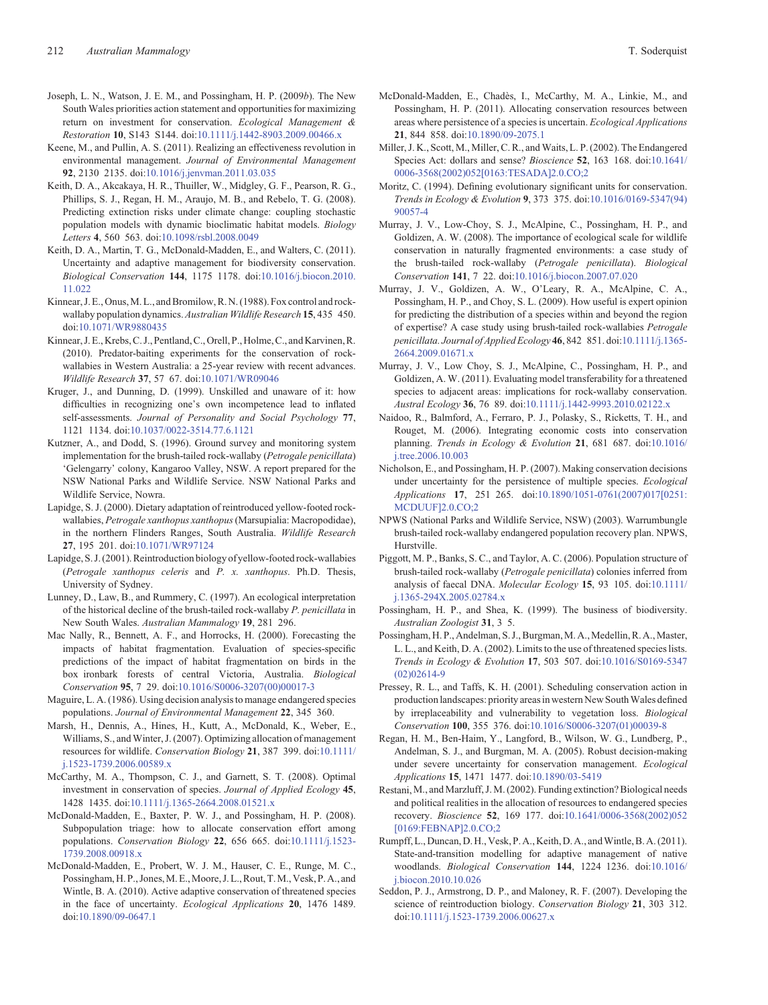- <span id="page-10-0"></span>Joseph, L. N., Watson, J. E. M., and Possingham, H. P. (2009*b*). The New South Wales priorities action statement and opportunities for maximizing return on investment for conservation. *Ecological Management & Restoration* **10**, S143 S144. doi:10.1111/j.1442-8903.2009.00466.x
- Keene, M., and Pullin, A. S. (2011). Realizing an effectiveness revolution in environmental management. *Journal of Environmental Management* **92**, 2130 2135. doi:10.1016/j.jenvman.2011.03.035
- Keith, D. A., Akcakaya, H. R., Thuiller, W., Midgley, G. F., Pearson, R. G., Phillips, S. J., Regan, H. M., Araujo, M. B., and Rebelo, T. G. (2008). Predicting extinction risks under climate change: coupling stochastic population models with dynamic bioclimatic habitat models. *Biology Letters* **4**, 560 563. doi:10.1098/rsbl.2008.0049
- Keith, D. A., Martin, T. G., McDonald-Madden, E., and Walters, C. (2011). Uncertainty and adaptive management for biodiversity conservation. *Biological Conservation* **144**, 1175 1178. doi:10.1016/j.biocon.2010. 11.022
- Kinnear, J. E., Onus, M. L., and Bromilow, R. N. (1988). Fox control and rockwallaby population dynamics. *Australian Wildlife Research* **15**, 435 450. doi:10.1071/WR9880435
- Kinnear, J. E., Krebs,C. J., Pentland,C., Orell, P., Holme,C., and Karvinen,R. (2010). Predator-baiting experiments for the conservation of rockwallabies in Western Australia: a 25-year review with recent advances. *Wildlife Research* **37**, 57 67. doi:10.1071/WR09046
- Kruger, J., and Dunning, D. (1999). Unskilled and unaware of it: how difficulties in recognizing one's own incompetence lead to inflated self-assessments. *Journal of Personality and Social Psychology* **77**, 1121 1134. doi:10.1037/0022-3514.77.6.1121
- Kutzner, A., and Dodd, S. (1996). Ground survey and monitoring system implementation for the brush-tailed rock-wallaby (*Petrogale penicillata*) 'Gelengarry' colony, Kangaroo Valley, NSW. A report prepared for the NSW National Parks and Wildlife Service. NSW National Parks and Wildlife Service, Nowra.
- Lapidge, S. J. (2000). Dietary adaptation of reintroduced yellow-footed rockwallabies, *Petrogale xanthopus xanthopus*(Marsupialia: Macropodidae), in the northern Flinders Ranges, South Australia. *Wildlife Research* **27**, 195 201. doi:10.1071/WR97124
- Lapidge, S. J. (2001). Reintroduction biology of yellow-footed rock-wallabies (*Petrogale xanthopus celeris* and *P. x. xanthopus*. Ph.D. Thesis, University of Sydney.
- Lunney, D., Law, B., and Rummery, C. (1997). An ecological interpretation of the historical decline of the brush-tailed rock-wallaby *P. penicillata* in New South Wales. *Australian Mammalogy* **19**, 281 296.
- Mac Nally, R., Bennett, A. F., and Horrocks, H. (2000). Forecasting the impacts of habitat fragmentation. Evaluation of species-specific predictions of the impact of habitat fragmentation on birds in the box ironbark forests of central Victoria, Australia. *Biological Conservation* **95**, 7 29. doi:10.1016/S0006-3207(00)00017-3
- Maguire, L. A. (1986). Using decision analysis to manage endangered species populations. *Journal of Environmental Management* **22**, 345 360.
- Marsh, H., Dennis, A., Hines, H., Kutt, A., McDonald, K., Weber, E., Williams, S., and Winter, J. (2007). Optimizing allocation of management resources for wildlife. *Conservation Biology* **21**, 387 399. doi:10.1111/ j.1523-1739.2006.00589.x
- McCarthy, M. A., Thompson, C. J., and Garnett, S. T. (2008). Optimal investment in conservation of species. *Journal of Applied Ecology* **45**, 1428 1435. doi:10.1111/j.1365-2664.2008.01521.x
- McDonald-Madden, E., Baxter, P. W. J., and Possingham, H. P. (2008). Subpopulation triage: how to allocate conservation effort among populations. *Conservation Biology* **22**, 656 665. doi:10.1111/j.1523- 1739.2008.00918.x
- McDonald-Madden, E., Probert, W. J. M., Hauser, C. E., Runge, M. C., Possingham, H. P., Jones, M. E., Moore, J. L., Rout, T. M., Vesk, P. A., and Wintle, B. A. (2010). Active adaptive conservation of threatened species in the face of uncertainty. *Ecological Applications* **20**, 1476 1489. doi:10.1890/09-0647.1
- McDonald-Madden, E., Chadès, I., McCarthy, M. A., Linkie, M., and Possingham, H. P. (2011). Allocating conservation resources between areas where persistence of a species is uncertain. *Ecological Applications* **21**, 844 858. doi:10.1890/09-2075.1
- Miller, J. K., Scott, M., Miller, C. R., and Waits, L. P. (2002). The Endangered Species Act: dollars and sense? *Bioscience* **52**, 163 168. doi:10.1641/ 0006-3568(2002)052[0163:TESADA]2.0.CO;2
- Moritz, C. (1994). Defining evolutionary significant units for conservation. *Trends in Ecology & Evolution* **9**, 373 375. doi:10.1016/0169-5347(94) 90057-4
- Murray, J. V., Low-Choy, S. J., McAlpine, C., Possingham, H. P., and Goldizen, A. W. (2008). The importance of ecological scale for wildlife conservation in naturally fragmented environments: a case study of the brush-tailed rock-wallaby (*Petrogale penicillata*). *Biological Conservation* **141**, 7 22. doi:10.1016/j.biocon.2007.07.020
- Murray, J. V., Goldizen, A. W., O'Leary, R. A., McAlpine, C. A., Possingham, H. P., and Choy, S. L. (2009). How useful is expert opinion for predicting the distribution of a species within and beyond the region of expertise? A case study using brush-tailed rock-wallabies *Petrogale penicillata. Journal of Applied Ecology* **46**, 842 851. doi:10.1111/j.1365- 2664.2009.01671.x
- Murray, J. V., Low Choy, S. J., McAlpine, C., Possingham, H. P., and Goldizen, A. W. (2011). Evaluating model transferability for a threatened species to adjacent areas: implications for rock-wallaby conservation. *Austral Ecology* **36**, 76 89. doi:10.1111/j.1442-9993.2010.02122.x
- Naidoo, R., Balmford, A., Ferraro, P. J., Polasky, S., Ricketts, T. H., and Rouget, M. (2006). Integrating economic costs into conservation planning. *Trends in Ecology & Evolution* **21**, 681 687. doi:10.1016/ j.tree.2006.10.003
- Nicholson, E., and Possingham, H. P. (2007). Making conservation decisions under uncertainty for the persistence of multiple species. *Ecological Applications* **17**, 251 265. doi:10.1890/1051-0761(2007)017[0251: MCDUUF]2.0.CO;2
- NPWS (National Parks and Wildlife Service, NSW) (2003). Warrumbungle brush-tailed rock-wallaby endangered population recovery plan. NPWS, Hurstville.
- Piggott, M. P., Banks, S. C., and Taylor, A. C. (2006). Population structure of brush-tailed rock-wallaby (*Petrogale penicillata*) colonies inferred from analysis of faecal DNA. *Molecular Ecology* **15**, 93 105. doi:10.1111/ j.1365-294X.2005.02784.x
- Possingham, H. P., and Shea, K. (1999). The business of biodiversity. *Australian Zoologist* **31**, 3 5.
- Possingham, H. P., Andelman, S. J., Burgman, M. A., Medellin, R. A., Master, L. L., and Keith, D. A. (2002). Limits to the use of threatened species lists. *Trends in Ecology & Evolution* **17**, 503 507. doi:10.1016/S0169-5347 (02)02614-9
- Pressey, R. L., and Taffs, K. H. (2001). Scheduling conservation action in production landscapes: priority areas in western New South Wales defined by irreplaceability and vulnerability to vegetation loss. *Biological Conservation* **100**, 355 376. doi:10.1016/S0006-3207(01)00039-8
- Regan, H. M., Ben-Haim, Y., Langford, B., Wilson, W. G., Lundberg, P., Andelman, S. J., and Burgman, M. A. (2005). Robust decision-making under severe uncertainty for conservation management. *Ecological Applications* **15**, 1471 1477. doi:10.1890/03-5419
- Restani,M., and Marzluff, J. M. (2002). Funding extinction? Biological needs and political realities in the allocation of resources to endangered species recovery. *Bioscience* **52**, 169 177. doi:10.1641/0006-3568(2002)052 [0169:FEBNAP]2.0.CO;2
- Rumpff, L., Duncan, D. H., Vesk, P. A., Keith, D. A., and Wintle, B. A. (2011). State-and-transition modelling for adaptive management of native woodlands. *Biological Conservation* **144**, 1224 1236. doi:10.1016/ j.biocon.2010.10.026
- Seddon, P. J., Armstrong, D. P., and Maloney, R. F. (2007). Developing the science of reintroduction biology. *Conservation Biology* **21**, 303 312. doi:10.1111/j.1523-1739.2006.00627.x